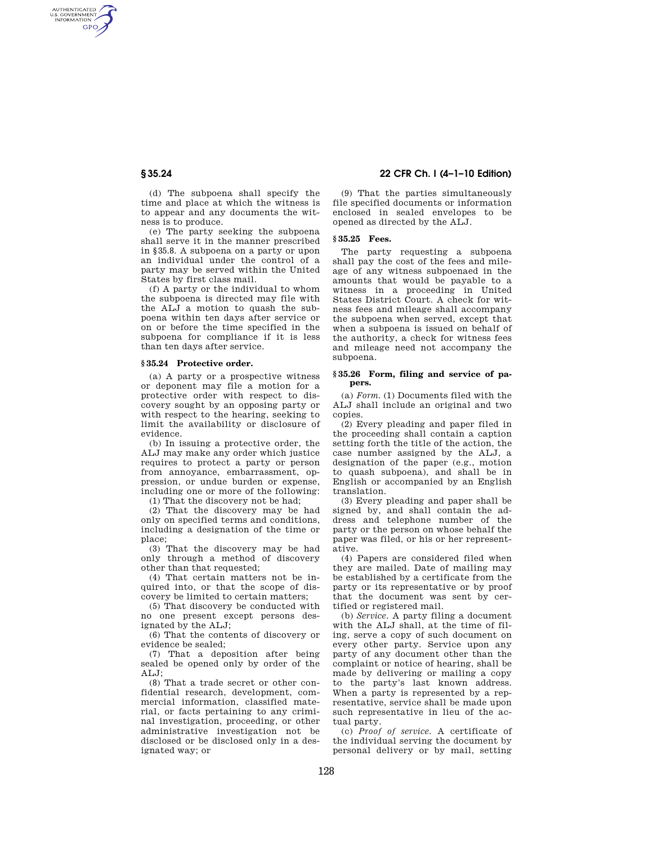AUTHENTICATED<br>U.S. GOVERNMENT<br>INFORMATION **GPO** 

> (d) The subpoena shall specify the time and place at which the witness is to appear and any documents the witness is to produce.

> (e) The party seeking the subpoena shall serve it in the manner prescribed in §35.8. A subpoena on a party or upon an individual under the control of a party may be served within the United States by first class mail.

> (f) A party or the individual to whom the subpoena is directed may file with the ALJ a motion to quash the subpoena within ten days after service or on or before the time specified in the subpoena for compliance if it is less than ten days after service.

#### **§ 35.24 Protective order.**

(a) A party or a prospective witness or deponent may file a motion for a protective order with respect to discovery sought by an opposing party or with respect to the hearing, seeking to limit the availability or disclosure of evidence.

(b) In issuing a protective order, the ALJ may make any order which justice requires to protect a party or person from annoyance, embarrassment, oppression, or undue burden or expense, including one or more of the following:

(1) That the discovery not be had;

(2) That the discovery may be had only on specified terms and conditions, including a designation of the time or place;

(3) That the discovery may be had only through a method of discovery other than that requested;

(4) That certain matters not be inquired into, or that the scope of discovery be limited to certain matters;

(5) That discovery be conducted with no one present except persons designated by the ALJ;

(6) That the contents of discovery or evidence be sealed;

(7) That a deposition after being sealed be opened only by order of the ALJ;

(8) That a trade secret or other confidential research, development, commercial information, classified material, or facts pertaining to any criminal investigation, proceeding, or other administrative investigation not be disclosed or be disclosed only in a designated way; or

# **§ 35.24 22 CFR Ch. I (4–1–10 Edition)**

(9) That the parties simultaneously file specified documents or information enclosed in sealed envelopes to be opened as directed by the ALJ.

## **§ 35.25 Fees.**

The party requesting a subpoena shall pay the cost of the fees and mileage of any witness subpoenaed in the amounts that would be payable to a witness in a proceeding in United States District Court. A check for witness fees and mileage shall accompany the subpoena when served, except that when a subpoena is issued on behalf of the authority, a check for witness fees and mileage need not accompany the subpoena.

## **§ 35.26 Form, filing and service of papers.**

(a) *Form.* (1) Documents filed with the ALJ shall include an original and two copies.

(2) Every pleading and paper filed in the proceeding shall contain a caption setting forth the title of the action, the case number assigned by the ALJ, a designation of the paper (e.g., motion to quash subpoena), and shall be in English or accompanied by an English translation.

(3) Every pleading and paper shall be signed by, and shall contain the address and telephone number of the party or the person on whose behalf the paper was filed, or his or her representative.

(4) Papers are considered filed when they are mailed. Date of mailing may be established by a certificate from the party or its representative or by proof that the document was sent by certified or registered mail.

(b) *Service.* A party filing a document with the ALJ shall, at the time of filing, serve a copy of such document on every other party. Service upon any party of any document other than the complaint or notice of hearing, shall be made by delivering or mailing a copy to the party's last known address. When a party is represented by a representative, service shall be made upon such representative in lieu of the actual party.

(c) *Proof of service.* A certificate of the individual serving the document by personal delivery or by mail, setting